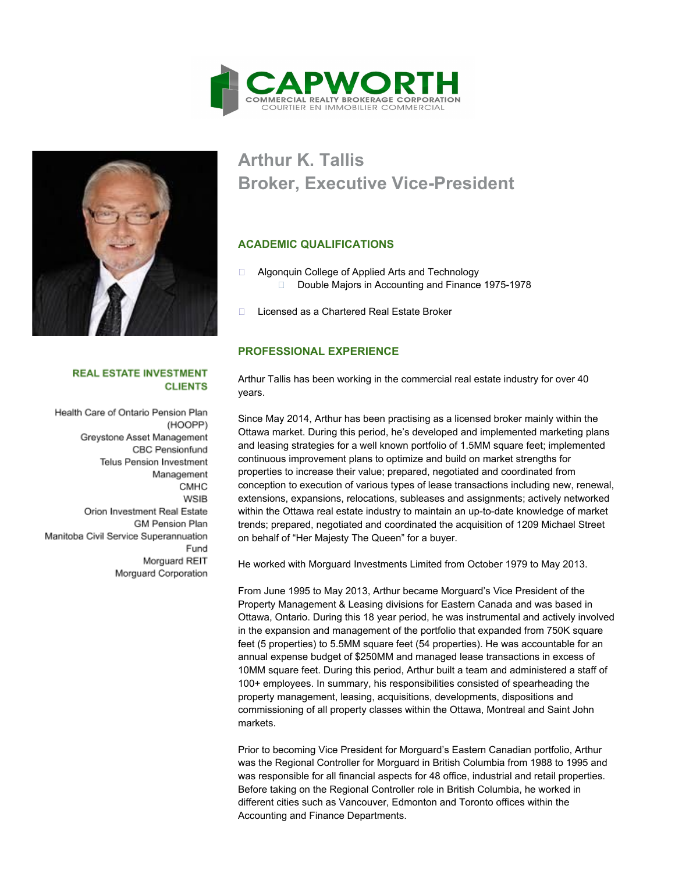



#### **REAL ESTATE INVESTMENT CLIENTS**

Health Care of Ontario Pension Plan (HOOPP) Greystone Asset Management **CBC Pensionfund Telus Pension Investment** Management CMHC **WSIB** Orion Investment Real Estate **GM Pension Plan** Manitoba Civil Service Superannuation Fund Morguard REIT Morguard Corporation

# **Arthur K. Tallis Broker, Executive Vice-President**

### **ACADEMIC QUALIFICATIONS**

- □ Algonquin College of Applied Arts and Technology D Double Majors in Accounting and Finance 1975-1978
- □ Licensed as a Chartered Real Estate Broker

#### **PROFESSIONAL EXPERIENCE**

Arthur Tallis has been working in the commercial real estate industry for over 40 years.

Since May 2014, Arthur has been practising as a licensed broker mainly within the Ottawa market. During this period, he's developed and implemented marketing plans and leasing strategies for a well known portfolio of 1.5MM square feet; implemented continuous improvement plans to optimize and build on market strengths for properties to increase their value; prepared, negotiated and coordinated from conception to execution of various types of lease transactions including new, renewal, extensions, expansions, relocations, subleases and assignments; actively networked within the Ottawa real estate industry to maintain an up-to-date knowledge of market trends; prepared, negotiated and coordinated the acquisition of 1209 Michael Street on behalf of "Her Majesty The Queen" for a buyer.

He worked with Morguard Investments Limited from October 1979 to May 2013.

From June 1995 to May 2013, Arthur became Morguard's Vice President of the Property Management & Leasing divisions for Eastern Canada and was based in Ottawa, Ontario. During this 18 year period, he was instrumental and actively involved in the expansion and management of the portfolio that expanded from 750K square feet (5 properties) to 5.5MM square feet (54 properties). He was accountable for an annual expense budget of \$250MM and managed lease transactions in excess of 10MM square feet. During this period, Arthur built a team and administered a staff of 100+ employees. In summary, his responsibilities consisted of spearheading the property management, leasing, acquisitions, developments, dispositions and commissioning of all property classes within the Ottawa, Montreal and Saint John markets.

Prior to becoming Vice President for Morguard's Eastern Canadian portfolio, Arthur was the Regional Controller for Morguard in British Columbia from 1988 to 1995 and was responsible for all financial aspects for 48 office, industrial and retail properties. Before taking on the Regional Controller role in British Columbia, he worked in different cities such as Vancouver, Edmonton and Toronto offices within the Accounting and Finance Departments.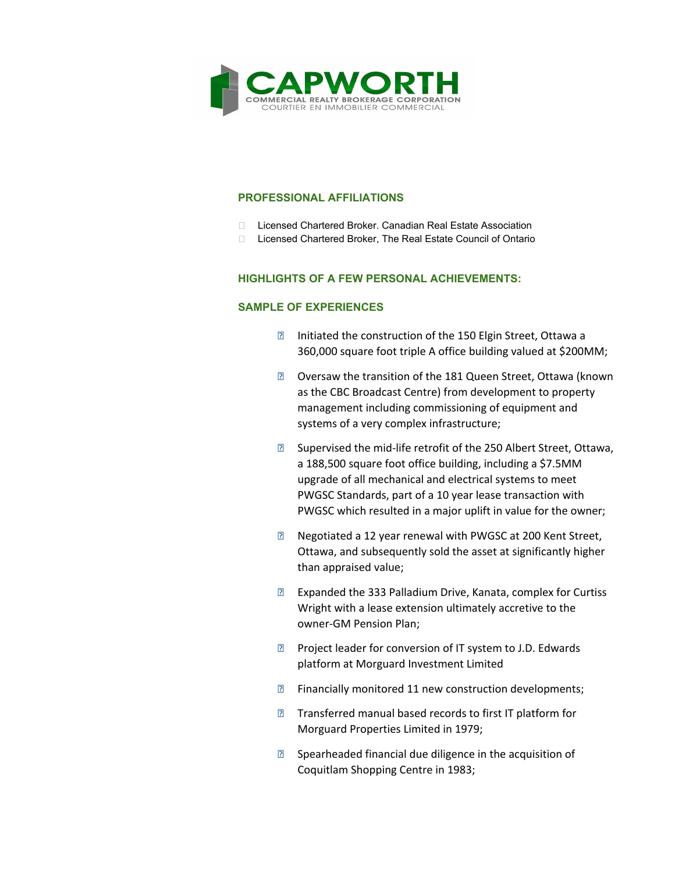

#### **PROFESSIONAL AFFILIATIONS**

- □ Licensed Chartered Broker. Canadian Real Estate Association
- □ Licensed Chartered Broker, The Real Estate Council of Ontario

#### **HIGHLIGHTS OF A FEW PERSONAL ACHIEVEMENTS:**

#### **SAMPLE OF EXPERIENCES**

- **Initiated the construction of the 150 Elgin Street, Ottawa a** 360,000 square foot triple A office building valued at \$200MM;
- **Z** Oversaw the transition of the 181 Queen Street, Ottawa (known as the CBC Broadcast Centre) from development to property management including commissioning of equipment and systems of a very complex infrastructure;
- **B** Supervised the mid-life retrofit of the 250 Albert Street, Ottawa, a 188,500 square foot office building, including a \$7.5MM upgrade of all mechanical and electrical systems to meet PWGSC Standards, part of a 10 year lease transaction with PWGSC which resulted in a major uplift in value for the owner;
- **EXECUTE:** Negotiated a 12 year renewal with PWGSC at 200 Kent Street, Ottawa, and subsequently sold the asset at significantly higher than appraised value;
- **EXpanded the 333 Palladium Drive, Kanata, complex for Curtiss** Wright with a lease extension ultimately accretive to the owner-GM Pension Plan;
- **Project leader for conversion of IT system to J.D. Edwards** platform at Morguard Investment Limited
- **EXECUTE:** Financially monitored 11 new construction developments;
- **Transferred manual based records to first IT platform for** Morguard Properties Limited in 1979;
- **B** Spearheaded financial due diligence in the acquisition of Coquitlam Shopping Centre in 1983;